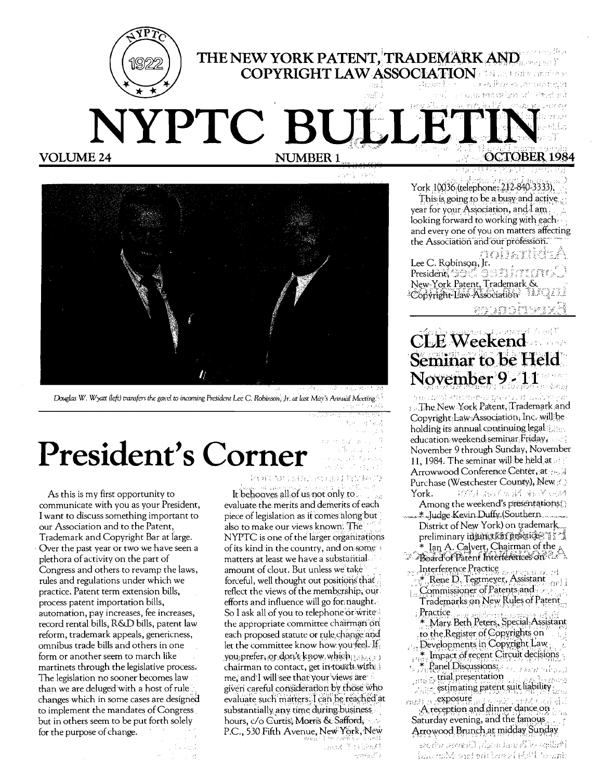



Douglas W. Wyatt (left) transfers the gavel to incoming President Lee C. Robinson, Jr. at last Max's Annual Meeting

# President's Corner

 $\sim 10^{11}$ 

As this is my first opportunity to communicate with you as your President, I want to discuss something important to our Association and to the Patent, Trademark and Copyright Bar at large. Over the past year or two we have seen a plethora of activity on the part of Congress and others to revamp the laws, rules and regulations under which we practice. Patent term extension bills, process patent importation bills, automation, pay increases, fee increases, record rental bills, R&D bills, patent law reform, trademark appeals, genericness, omnibus trade bills and others in one form or another seem to march like martinets through the legislative process. The legislation no sooner becomes law than we are deluged with a host of rule changes which in some cases are designed to implement the mandates of Congress but in others seem to be put forth solely for the purpose of change.

2004年5月13日最上海最好的12秒

It behooves all of us not only to evaluate the merits and demerits of each. piece of legislation as it comes along but also to make our views known. The NYPTC is one of the larger organizations of its kind in the country, and on some matters at least we have a substantial. amount of clout. But unless we take forceful, well thought out positions that reflect the views of the membership, our efforts and influence will go for naught. So I ask all of you to telephone or write the appropriate committee chairman on each proposed statute or rule change and let the committee know how you feel. If you, prefer, or don't know, which chairman to contact, get in touch with me, and I will see that your views are given careful consideration by those who evaluate such matters. I can be reached at substantially any time during business hours, c/o Curtis, Morris & Safford, P.C., 530 Fifth Avenue, New York, New

York 10036 (telephone: 212-840-3333), This is going to be a busy and active year for your Association, and  $I$  am. looking forward to working with each and every one of you on matters affecting the Association and our profession.

#### na ja m Lee C. Robinson, Ir. President and dentity for the

New York Patent, Trademark & Copyright Law-Association estrations

### CLE Weekend Seminar to be Held November 9-11

ทยองเท่งไรการต่อทอด ฐกอง (201 เมษัน J. The New York Patent, Trademark and Copyright Law Association, Inc. will be holding its annual continuing legal education weekend seminar Friday, November 9 through Sunday, November 11, 1984. The seminar will be held at all Arrowwood Conference Center, at Purchase (Westchester County), New 1000 おぼかみ (あざいが York.

- Among the weekend's presentations. Ludge Kevin Duffy (Southern District of New York) on trademark<br>preliminary in initiation preliminary
- Lan A. Calvert, Chairman of the
- Interference Practice<br>
\* Rene D. Tegtinever, Assistant Ford I
- Commissioner of Patents and Trademarks on New Rules of Patent Practice
	- \* Mary Beth Peters, Special Assistant to the Register of Copyrights on
- Developments in Copyright Law
	- \* Impact of recent Circuit decisions
- $\mathcal{F}_1$  Panel Discussions:  $\frac{1}{2}$  trial presentation
- $\sim$  estimating patent suit liability  $max_{i}$  exposure
- $A$  reception and dinner dance on Saturday evening, and the famous Arrowood Brunch at midday Sunday

Polling of Poundam Creases, whose issumM wid saidway i feel to write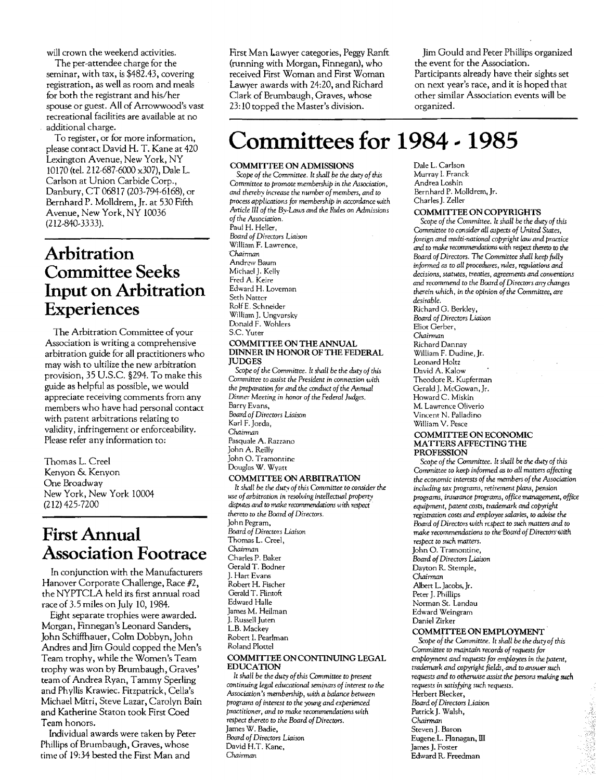will crown the weekend activities.

The per-attendee charge for the seminar, with tax, is \$482.43, covering registration, as well as room and meals for both the registrant and his/her spouse or guest. All of Arrowwood's vast recreational facilities are available at no additional charge.

To register, or for more information, please contact David H. T. Kane at 420 Lexington Avenue, New York, NY 10170 (tel. 212-687-6000 x307), Dale L. Carlson at Union Carbide Corp., Danbury, CT 06817 (203-794-6168), or Bernhard P. Molldrem, Jr. at 530 Fifth Avenue, New York, NY 10036 (212-840-3333).

### **Arbitration Committee Seeks Input on Arbitration Experiences**

The Arbitration Committee of your Association is writing a comprehensive arbitration guide for all practitioners who may wish to ultilize the new arbitration provision, 35 U.S.C. §294. To make this guide as helpful as possible, we would appreciate receiving comments from any members who have had personal contact with patent arbitrations relating to validity, infringement or enforceability. Please refer any information to:

Thomas L. Creel Kenyon & Kenyon One Broadway New York, New York 10004 (212) 425-7200

### **First Annual Association Footrace**

In conjunction with the Manufacturers Hanover Corporate Challenge, Race #2, the NYPTCLA held its first annual road race of 3.5 miles on July 10, 1984.

Eight separate trophies were awarded. Morgan, Finnegan's Leonard Sanders, John Schiffhauer, Colm Dobbyn, John Andres and Jim Gould copped the Men's Team trophy, while the Women's Team trophy was won by Brumbaugh, Graves' team of Andrea Ryan, Tammy Sperling and Phyllis Krawiec. Fitzpatrick, Cella's Michael Mitri, Steve Lazar, Carolyn Bain and Katherine Staron took First Coed Tcam honors.

Individual awards were taken by Peter Phillips of Brumbaugh, Graves, whose time of 19:34 bested the First Man and

First Man Lawyer categories, Peggy Ranft (running with Morgan, Finnegan), who received First Woman and First Woman Lawyer awards with 24:20, and Richard Clark of Brumbaugh, Graves, whose 23: 10 topped the Master's division.

Jim Gould and Peter Phillips organized the event for the Association. Participants already have their sights set on next year's race, and it is hoped that other similar Association events will be organized.

## **Committees for 1984 - 1985**

#### COMMITTEE ON ADMISSIONS

*Scope of the Committee.* It *shall be the duty of this Committee to promote membership in the Association, and thereby increase the number ofmembers, and to process applications for membership in accordance with Article 1Il of the By-Laws and the Rules* on *Admissions ofthe Association.*  Paul H. Heller, *Boa.rd of Directors Liaison*  William F. Lawrence, *Chairman*  Andrew Baum Michael I. Kelly Fred A. Keire Edward H. Loveman Seth Natter RolfE. Schneider William J. Ungvarsky Donald F. Wohlers S.c. Yuter COMMITTEE ON THE ANNUAL

#### DINNER IN HONOR OF THE FEDERAL JUDGES

Scope of the Committee. It shall be the duty of this *Committee to assist the President* in *connection with* the preparation for and the conduct of the Annual Dinner Meeting in *honor of the Federal Judges.* Barry Evans, *Boa.rd of Directors Liaison*  Karl F. Jorda, *Chairman*  Pasquale A. Razzano JohnA. Reilly John O. Tramomine Douglas W. Wyatt

#### COMMITTEE ON ARBITRATION

It shall be the duty of this Committee to consider the *use ofarbitration* in *resolving intellectual propert;v dispute., and to moke recommendations* u*ith respeci thereto to the Board of Directors.*  John Pegram, *Boa.rd of Directors* Liaison Thomas L. Creel, Chairman Charles P. Baker Gerald T. Bodner J. Hart Evans Robert H. Fischer Gerald T. Flintoft Edward Halle James M. Heilman J. Russell Juten L.B. Mackey Robert I. Pearlman Roland Plottel

#### COMMITTEE ON CONTINUING LEGAL EDUCATION

*It shall be the duty of this Committee to present continuing legal educational seminars of interest to the Association's membership, with a balance between programs of interest to the young and experienced practitioner, and* to *make recommendations with respect thereto to the Board of Directors.*  James W. Badie, *Boa.rd of Directors Liaison*  David H.T. Kane, *Chairman* 

Dale L. Carlson Murray I. Franck Andrea Loshin Bernhard P. Molldrem,Jr. Charles J. Zeller

#### COMMITTEE ON COPYRIGHTS

*Scope of the Committee.* It *shall be* the *duty of this Committee to consider all aspects of United States, foreign and multi*-national *copyright law and practice*  and *to moke* recommendations with respect *thereto* to *the Board of Directors.* The *Committee shall keep fully*  informed as to all procedures, rules, regulations and *decisions, statutes, treaties, agreements and conventions and recommend to the Board of Directors any changes therein which,* in *the opinion ofthe Committee, are desirable.* 

 Richard G. Berkley, *Board of Directors Liaison*  Eliot Gerber, *Chairman*  Richard Dannay William F. Dudine, Jr. Leonard Holtz David A. Kalow Theodore R. Kupferman Gerald J. McGowan, Jr. Howard C. Miskin M. Lawrence Oliverio Vincent N. Palladino William V. Pesce

#### COMMITTEE ON ECONOMIC MATTERS AFFECTING THE PROFESSION

*Scope of the Committee.* It *shall be the duty of this Committee to keep informed as to all matters affecting the economic interests of the members of the Association including laX programs, retirement plans, pension programs, insurance programs, office management, office equipment, patent costs, trademark and copyright*   $registration costs and employee salaries, to advise the$ *Boa.rd of Directors with r£3pect to such matters and* to *make recommendations to the Board of Directors with respect to such matters.*  John O. Tramontine, *Board of Directors* Liaison Dayton R. Stemple,

*Chairman*  Albert L. Jacobs, Jr.

Peter J. Phillips

Norman St. Landau Edward Weingram

Daniel Zirker

#### COMMITTEE ON EMPLOYMENT

*Scope oj the Committee. It shall be the duty of this*  Committee to maintain *records* of *requests* for *employment and requests for employees in the patent, trademark and copyright fields, and to answer such requests and to otherwise assist the persons making such requests* in *satisfying such requests.*  Herbert Blecker, *Board of Directors* Liaison Patrick J. Walsh, *Chairman*  StevenJ. Baron Eugene.L. Flanagan, III James J. Foster Edward R. Freedman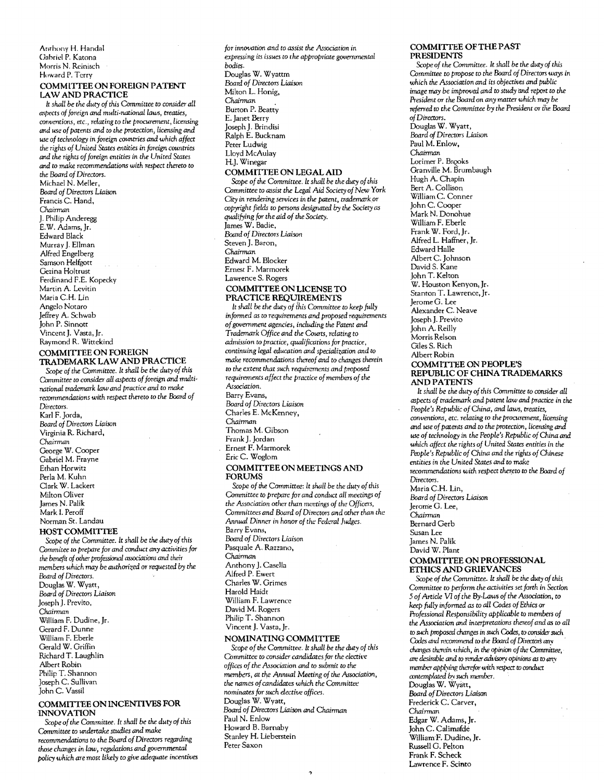#### Anrhony H. Handal Gabriel P. Katona Morris N. Reinisch Howard P. Terry COMMlTIEE ON FOREIGN PATENT

### LAW AND PRACTICE

It *shall be the duty of this Committee* to *consider* all *a.<pects of foreign and multi-national laws, treaties,*  conventions, *etc., relating* to *the procurement, licensing cmd use of patents and* to the *protection, licensing and use of technology in foreign countries and which affect the rights of United States entities* in *foreign countries cmd the rights offoreign entities* in *the United States and* to *make recommendations with respect thereto* to *the Board of Directors.*  Michael N. Meller, *Board of Directors Liaison*  Francis C. Hand, *Chairman*  J. Philip Anderegg E.W. Adams, Jr. Edward Black Murray J. Ellman Alfred Engelberg Samson Helfgott Gezina Holtrust Ferdinand F.E. Kopecky Martin A. Levitin Maria C.H. Lin Angelo Notaro Jeffrey A. Schwab John P. Sinnott Vincent J. Vasta, Jr. Raymond R. Wittekind

#### COMMlTIEE ON FOREIGN TRADEMARK LAW AND PRACTICE

Scope of the Committee. It shall be the duty of this Committee to consider all aspects of foreign and multi*national trademark law* and *practice and* to *make recommendations with respect thereto* to *the Board of Directors.*  Karl F. Jorda, *Board of Directors Liaison*  Virginia R. Richard, *Chairman*  George W. Cooper Gabriel M. Frayne Ethan Horwitz Perla M. Kuhn Clark W. Lackert Milton Oliver James N. Palik Mark l. Peroff Norman St. Landau HOST COMMITTEE

Scope of the Committee. It shall be the duty of this *Olmmitee* to *prepare for and conduct* any *activities for the* benefit of*other professional* associations *and* their *members which may be authorized or requested by* the *Board of Directors.*  Douglas W. Wyatt, *Board of Directors Liaison*  Joseph J. Previto, *Chairman*  William F. Dudine, Jr. Gerard F. Dunne William F. Eberle Gerald W. Griffin Richard T. Laughlin Albert Robin Philip T. Shannon Joseph c. Sullivan John C. Vassil

#### COMMITTEE ON INCENTIVES FOR INNOVATION

Scope of the Committee. It shall be the duty of this Committee to *undertake studies and make recommendations* to *the Board ofDirectors regarding those changes* in *law, regulations and* governmental *policy which are most likely* to *give adequate incentives*  *for innovation and to assist the Association in expressing its issues* to *the appropriate governmental bodies.*  Douglas W. Wyattm *Board of Directors Liaison*  Milton L. Honig, *Chairman*  Burton P. Beatty E. Janet Berry Joseph J. Brindisi Ralph E. Bucknam Peter Ludwig Lloyd McAulay H.J. Winegar COMMITIEE ON LEGALAlD

*Scope of* the *Committee. It shall be the duty ofthis o,mmittee* to *assist the Legal Aid Society of New York City in rendering services in the patent. trademark.or copyright fields* to *persons designated* by the *Society as qualifying for the aid of the Society.*  James W. Badie, *Board of Directors Liaison*  Steven J. Baron, *Chairman*  Edward M. Blocker Ernest F. Marmorek Lawrence S. Rogers COMMITIEE ON LICENSE TO PRACTICE REQUIREMENTS

It *shall* be *the duty of {his* Committee to *keep fUlly informed as* to *requirements and proposed requirements ofgovernment agencies, including the Patent* and Trademark Office and the Courts, relating to *admission* to *practice, qualifications for practice,*  continuing legal education and specialization and to make recommendations thereof and to changes therein to *the extent that such requirements and proposed requirements affect the practice of members of the Association.*  Barry Evans, *Board of Directors Liaison*  Charles E. McKenney, *Chairman*  Thomas M. Gibson Frank J. Jordan Ernest F. Marmorek Eric C. Woglom COMMlTIEE ON MEETINGS AND FORUMS

Scope of the *Committee: It shall be the duty* of this *Committee to prepare for and* conduct *all meetings of the Association other than meetings of the Officers,* Committees and Board of Directors and other than the Annual Dinner in honor of the Federal Judges. Barry Evans, *Board of Directors Liaison*  Pasquale A. Razzano, *Chairman*  Anthony J. Casella Alfred P. Ewert Charles W. Grimes Harold Haidt William F. Lawrence David M. Rogers Philip T. Shannon Vincent J. Vasta, Jr.

#### NOMINATING COMMITIEE

Scope of the Committee. It shall be the duty of this Committee to consider candidates for the elective *offices of the Association and* to *submit* to the members, at the Annual Meeting of the Association, *the names ofcandidates which the Committee nominates for such elective offices.*  Douglas W. Wyatt. *Board of Directors Liaison and Chairman*  Paul N. Enlow Howard B. Barnaby Stanley H. Lieberstein Peter Saxon

#### COMMITTEE OFTHE PAST PRESIDENTS

*Scope of the Committee. It shall be the duty of this Olmmittee* to *propose* to the *Board of Directors* ways in *which the Association* and *its objectives and public image niay be improved and* to *study* lInd *report* to the President or *the Board* on *any matter which may be*  referred to *the* Olmmittee *by* the *President* or *ihe Board*  of*Directors.* 

Douglas W. Wyatt, *Board of Directors Liaison*  Paul M. Enlow, *Chairman*  Lorimer P. Brooks Granville M. Brumbaugh Hugh A. Chapin Bert A. Collison William C. Conner John C. Cooper Mark N. Donohue William F. Eberle Frank W. Ford. Jr. Alfred L Haffner, Jr. Edward Halle Albert C. Johnson David S. Kane John T. Kelton W. Houston Kenyon,Jr. Stanton T. Lawrence, Jr. JeromeG. Lee Alexander C. Neave Joseph J. Previto John A. Reilly Morris Relson Giles S. Rich Albert Robin

#### COMMITTEE ON PEOPLE'S REPUBLIC OF CHINATRADEMARKS AND PATENTS

*It shall be the duty of*this *Committee to consider all aspects of trademark and patent law and practice* in *the People's Republic ofChina, and laws, treaties, conventions. etc. relating* (0 *the procurement, licensing and use of patents and* to *the protection, licensing and use of technology* in *the People's Republic ofChina and which affect the rights of United States entities in the People's Republic of* China *and* the *rights of Chinese entities* in *the United States and* to *make*  recommendations *with respect thereto* to *the Board of Directors.*  Maria C.H. Lin, *Board of Directors Liaison*  Jerome G. Lee. *Chairman*  Bernard Gerb Susan Lee James N. Palik David W. Plant COMMITfEE ON PROFESSIONAL ETHICS AND GRlEVANCES Scope of the Committee. It shall be the *duty* of this *Committee to perform the activities set forth* in *Section 5 of Article* VI *of the By-Laws of the Association,* to

*keep fully informed as* to all *o,des of Ethics or Professional Responsibility applicable* to *members of the Association and interpretations thereof and as to all*  to *such* proposed *changes* in *such* Codes, to consider *such*  Codes and *recommend* to the Board of Directors any *changes therein which, in the opinion of the Committee,*  $a$ <sup>rable</sup> *and to render advisory opinions as to any member applying therefor with respect to conduct*  $a$  contemplated by such member. Douglas W. Wyatt. *Board ofDirectors Liaison*  Frederick C. Carver, *Chairman*  Edgar W. Adams, Jr. John C. Calimafde WilliamF. Dudine, Jr. Russell G. Pelton Frank F. Scheck Lawrence F. Scinto